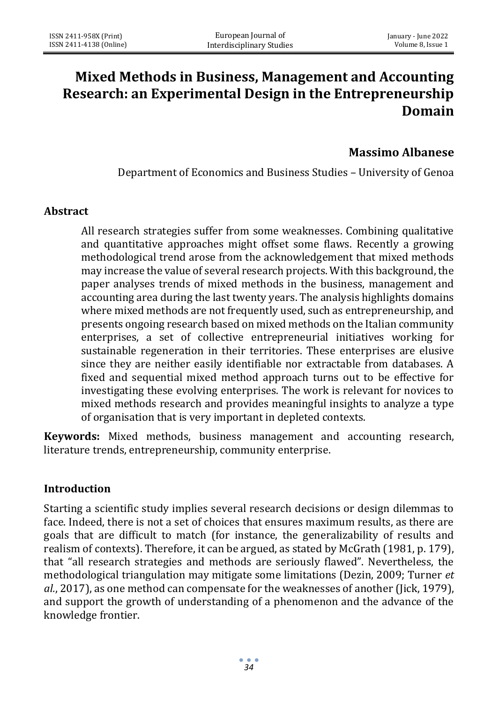# **Mixed Methods in Business, Management and Accounting Research: an Experimental Design in the Entrepreneurship Domain**

### **Massimo Albanese**

Department of Economics and Business Studies – University of Genoa

#### **Abstract**

All research strategies suffer from some weaknesses. Combining qualitative and quantitative approaches might offset some flaws. Recently a growing methodological trend arose from the acknowledgement that mixed methods may increase the value of several research projects. With this background, the paper analyses trends of mixed methods in the business, management and accounting area during the last twenty years. The analysis highlights domains where mixed methods are not frequently used, such as entrepreneurship, and presents ongoing research based on mixed methods on the Italian community enterprises, a set of collective entrepreneurial initiatives working for sustainable regeneration in their territories. These enterprises are elusive since they are neither easily identifiable nor extractable from databases. A fixed and sequential mixed method approach turns out to be effective for investigating these evolving enterprises. The work is relevant for novices to mixed methods research and provides meaningful insights to analyze a type of organisation that is very important in depleted contexts.

**Keywords:** Mixed methods, business management and accounting research, literature trends, entrepreneurship, community enterprise.

#### **Introduction**

Starting a scientific study implies several research decisions or design dilemmas to face. Indeed, there is not a set of choices that ensures maximum results, as there are goals that are difficult to match (for instance, the generalizability of results and realism of contexts). Therefore, it can be argued, as stated by McGrath (1981, p. 179), that "all research strategies and methods are seriously flawed". Nevertheless, the methodological triangulation may mitigate some limitations (Dezin, 2009; Turner *et al.*, 2017), as one method can compensate for the weaknesses of another (Jick, 1979), and support the growth of understanding of a phenomenon and the advance of the knowledge frontier.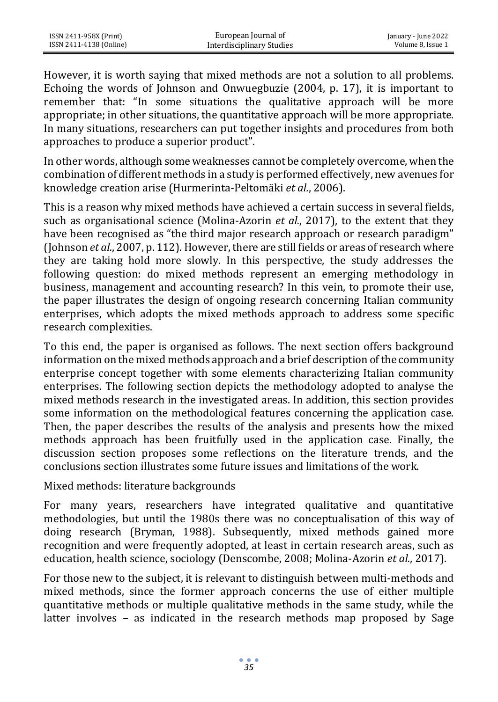However, it is worth saying that mixed methods are not a solution to all problems. Echoing the words of Johnson and Onwuegbuzie (2004, p. 17), it is important to remember that: "In some situations the qualitative approach will be more appropriate; in other situations, the quantitative approach will be more appropriate. In many situations, researchers can put together insights and procedures from both approaches to produce a superior product".

In other words, although some weaknesses cannot be completely overcome, when the combination of different methods in a study is performed effectively, new avenues for knowledge creation arise (Hurmerinta-Peltomäki *et al.*, 2006).

This is a reason why mixed methods have achieved a certain success in several fields, such as organisational science (Molina-Azorin *et al.*, 2017), to the extent that they have been recognised as "the third major research approach or research paradigm" (Johnson *et al.*, 2007, p. 112). However, there are still fields or areas of research where they are taking hold more slowly. In this perspective, the study addresses the following question: do mixed methods represent an emerging methodology in business, management and accounting research? In this vein, to promote their use, the paper illustrates the design of ongoing research concerning Italian community enterprises, which adopts the mixed methods approach to address some specific research complexities.

To this end, the paper is organised as follows. The next section offers background information on the mixed methods approach and a brief description of the community enterprise concept together with some elements characterizing Italian community enterprises. The following section depicts the methodology adopted to analyse the mixed methods research in the investigated areas. In addition, this section provides some information on the methodological features concerning the application case. Then, the paper describes the results of the analysis and presents how the mixed methods approach has been fruitfully used in the application case. Finally, the discussion section proposes some reflections on the literature trends, and the conclusions section illustrates some future issues and limitations of the work.

Mixed methods: literature backgrounds

For many years, researchers have integrated qualitative and quantitative methodologies, but until the 1980s there was no conceptualisation of this way of doing research (Bryman, 1988). Subsequently, mixed methods gained more recognition and were frequently adopted, at least in certain research areas, such as education, health science, sociology (Denscombe, 2008; Molina-Azorin *et al.*, 2017).

For those new to the subject, it is relevant to distinguish between multi-methods and mixed methods, since the former approach concerns the use of either multiple quantitative methods or multiple qualitative methods in the same study, while the latter involves – as indicated in the research methods map proposed by Sage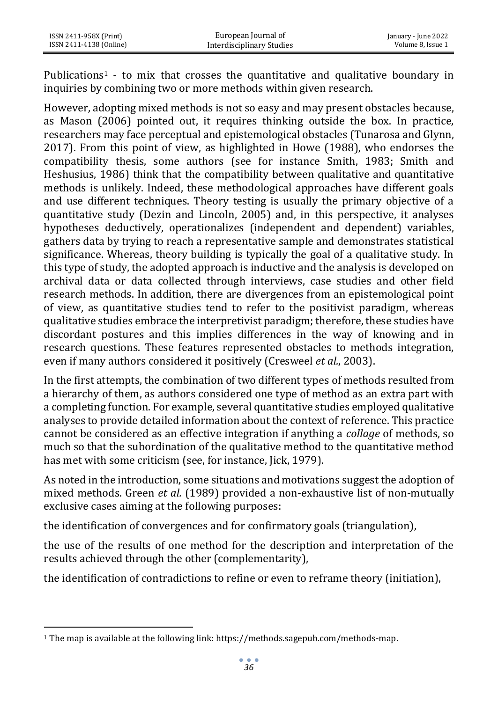Publications<sup>1</sup> - to mix that crosses the quantitative and qualitative boundary in inquiries by combining two or more methods within given research.

However, adopting mixed methods is not so easy and may present obstacles because, as Mason (2006) pointed out, it requires thinking outside the box. In practice, researchers may face perceptual and epistemological obstacles (Tunarosa and Glynn, 2017). From this point of view, as highlighted in Howe (1988), who endorses the compatibility thesis, some authors (see for instance Smith, 1983; Smith and Heshusius, 1986) think that the compatibility between qualitative and quantitative methods is unlikely. Indeed, these methodological approaches have different goals and use different techniques. Theory testing is usually the primary objective of a quantitative study (Dezin and Lincoln, 2005) and, in this perspective, it analyses hypotheses deductively, operationalizes (independent and dependent) variables, gathers data by trying to reach a representative sample and demonstrates statistical significance. Whereas, theory building is typically the goal of a qualitative study. In this type of study, the adopted approach is inductive and the analysis is developed on archival data or data collected through interviews, case studies and other field research methods. In addition, there are divergences from an epistemological point of view, as quantitative studies tend to refer to the positivist paradigm, whereas qualitative studies embrace the interpretivist paradigm; therefore, these studies have discordant postures and this implies differences in the way of knowing and in research questions. These features represented obstacles to methods integration, even if many authors considered it positively (Cresweel *et al.*, 2003).

In the first attempts, the combination of two different types of methods resulted from a hierarchy of them, as authors considered one type of method as an extra part with a completing function. For example, several quantitative studies employed qualitative analyses to provide detailed information about the context of reference. This practice cannot be considered as an effective integration if anything a *collage* of methods, so much so that the subordination of the qualitative method to the quantitative method has met with some criticism (see, for instance, Jick, 1979).

As noted in the introduction, some situations and motivations suggest the adoption of mixed methods. Green *et al.* (1989) provided a non-exhaustive list of non-mutually exclusive cases aiming at the following purposes:

the identification of convergences and for confirmatory goals (triangulation),

the use of the results of one method for the description and interpretation of the results achieved through the other (complementarity),

the identification of contradictions to refine or even to reframe theory (initiation),

<sup>1</sup> The map is available at the following link[: https://methods.sagepub.com/methods-map.](https://methods.sagepub.com/methods-map)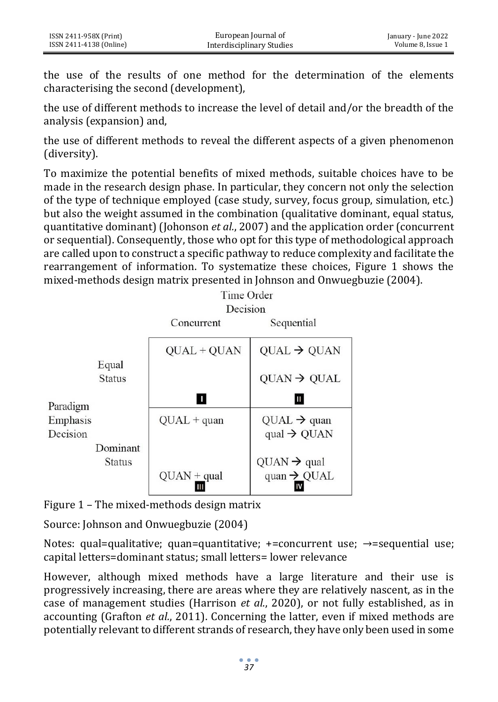the use of the results of one method for the determination of the elements characterising the second (development),

the use of different methods to increase the level of detail and/or the breadth of the analysis (expansion) and,

the use of different methods to reveal the different aspects of a given phenomenon (diversity).

To maximize the potential benefits of mixed methods, suitable choices have to be made in the research design phase. In particular, they concern not only the selection of the type of technique employed (case study, survey, focus group, simulation, etc.) but also the weight assumed in the combination (qualitative dominant, equal status, quantitative dominant) (Johonson *et al.*, 2007) and the application order (concurrent or sequential). Consequently, those who opt for this type of methodological approach are called upon to construct a specific pathway to reduce complexity and facilitate the rearrangement of information. To systematize these choices, Figure 1 shows the mixed-methods design matrix presented in Johnson and Onwuegbuzie (2004).



Figure 1 – The mixed-methods design matrix

Source: Johnson and Onwuegbuzie (2004)

Notes: qual=qualitative: quan=quantitative:  $+$ =concurrent use:  $\rightarrow$ =sequential use; capital letters=dominant status; small letters= lower relevance

However, although mixed methods have a large literature and their use is progressively increasing, there are areas where they are relatively nascent, as in the case of management studies (Harrison *et al.*, 2020), or not fully established, as in accounting (Grafton *et al.*, 2011). Concerning the latter, even if mixed methods are potentially relevant to different strands of research, they have only been used in some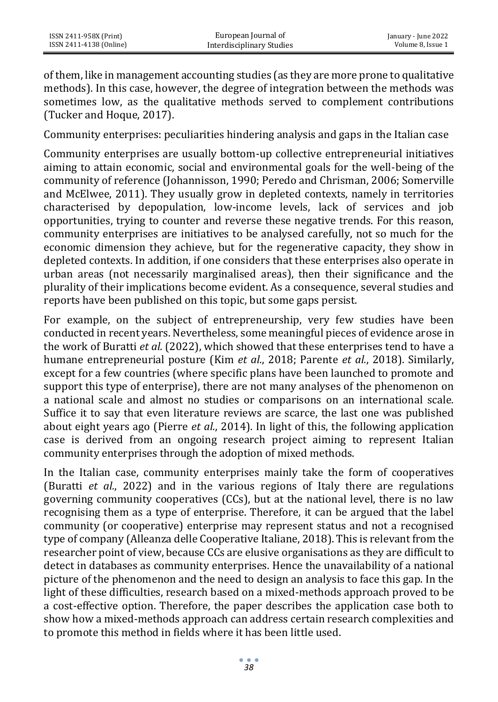of them, like in management accounting studies (as they are more prone to qualitative methods). In this case, however, the degree of integration between the methods was sometimes low, as the qualitative methods served to complement contributions (Tucker and Hoque, 2017).

Community enterprises: peculiarities hindering analysis and gaps in the Italian case

Community enterprises are usually bottom-up collective entrepreneurial initiatives aiming to attain economic, social and environmental goals for the well-being of the community of reference (Johannisson, 1990; Peredo and Chrisman, 2006; Somerville and McElwee, 2011). They usually grow in depleted contexts, namely in territories characterised by depopulation, low-income levels, lack of services and job opportunities, trying to counter and reverse these negative trends. For this reason, community enterprises are initiatives to be analysed carefully, not so much for the economic dimension they achieve, but for the regenerative capacity, they show in depleted contexts. In addition, if one considers that these enterprises also operate in urban areas (not necessarily marginalised areas), then their significance and the plurality of their implications become evident. As a consequence, several studies and reports have been published on this topic, but some gaps persist.

For example, on the subject of entrepreneurship, very few studies have been conducted in recent years. Nevertheless, some meaningful pieces of evidence arose in the work of Buratti *et al.* (2022), which showed that these enterprises tend to have a humane entrepreneurial posture (Kim *et al.*, 2018; Parente *et al.*, 2018). Similarly, except for a few countries (where specific plans have been launched to promote and support this type of enterprise), there are not many analyses of the phenomenon on a national scale and almost no studies or comparisons on an international scale. Suffice it to say that even literature reviews are scarce, the last one was published about eight years ago (Pierre *et al.*, 2014). In light of this, the following application case is derived from an ongoing research project aiming to represent Italian community enterprises through the adoption of mixed methods.

In the Italian case, community enterprises mainly take the form of cooperatives (Buratti *et al.*, 2022) and in the various regions of Italy there are regulations governing community cooperatives (CCs), but at the national level, there is no law recognising them as a type of enterprise. Therefore, it can be argued that the label community (or cooperative) enterprise may represent status and not a recognised type of company (Alleanza delle Cooperative Italiane, 2018). This is relevant from the researcher point of view, because CCs are elusive organisations as they are difficult to detect in databases as community enterprises. Hence the unavailability of a national picture of the phenomenon and the need to design an analysis to face this gap. In the light of these difficulties, research based on a mixed-methods approach proved to be a cost-effective option. Therefore, the paper describes the application case both to show how a mixed-methods approach can address certain research complexities and to promote this method in fields where it has been little used.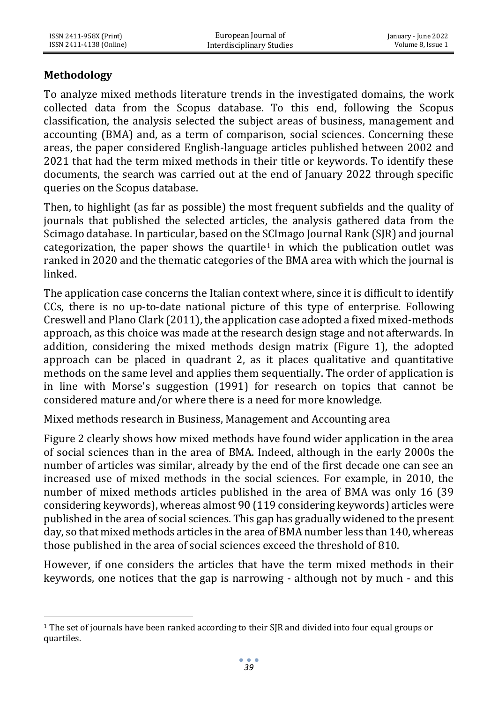## **Methodology**

To analyze mixed methods literature trends in the investigated domains, the work collected data from the Scopus database. To this end, following the Scopus classification, the analysis selected the subject areas of business, management and accounting (BMA) and, as a term of comparison, social sciences. Concerning these areas, the paper considered English-language articles published between 2002 and 2021 that had the term mixed methods in their title or keywords. To identify these documents, the search was carried out at the end of January 2022 through specific queries on the Scopus database.

Then, to highlight (as far as possible) the most frequent subfields and the quality of journals that published the selected articles, the analysis gathered data from the Scimago database. In particular, based on the SCImago Journal Rank (SJR) and journal categorization, the paper shows the quartile<sup>1</sup> in which the publication outlet was ranked in 2020 and the thematic categories of the BMA area with which the journal is linked.

The application case concerns the Italian context where, since it is difficult to identify CCs, there is no up-to-date national picture of this type of enterprise. Following Creswell and Plano Clark (2011), the application case adopted a fixed mixed-methods approach, as this choice was made at the research design stage and not afterwards. In addition, considering the mixed methods design matrix (Figure 1), the adopted approach can be placed in quadrant 2, as it places qualitative and quantitative methods on the same level and applies them sequentially. The order of application is in line with Morse's suggestion (1991) for research on topics that cannot be considered mature and/or where there is a need for more knowledge.

Mixed methods research in Business, Management and Accounting area

Figure 2 clearly shows how mixed methods have found wider application in the area of social sciences than in the area of BMA. Indeed, although in the early 2000s the number of articles was similar, already by the end of the first decade one can see an increased use of mixed methods in the social sciences. For example, in 2010, the number of mixed methods articles published in the area of BMA was only 16 (39 considering keywords), whereas almost 90 (119 considering keywords) articles were published in the area of social sciences. This gap has gradually widened to the present day, so that mixed methods articles in the area of BMA number less than 140, whereas those published in the area of social sciences exceed the threshold of 810.

However, if one considers the articles that have the term mixed methods in their keywords, one notices that the gap is narrowing - although not by much - and this

<sup>1</sup> The set of journals have been ranked according to their SJR and divided into four equal groups or quartiles.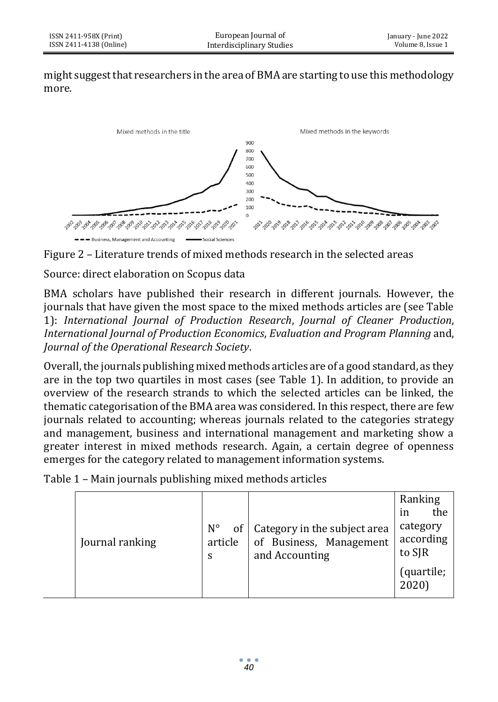might suggest that researchers in the area of BMA are starting to use this methodology more.





Source: direct elaboration on Scopus data

BMA scholars have published their research in different journals. However, the journals that have given the most space to the mixed methods articles are (see Table 1): *International Journal of Production Research*, *Journal of Cleaner Production*, *International Journal of Production Economics*, *Evaluation and Program Planning* and, *Journal of the Operational Research Society*.

Overall, the journals publishing mixed methods articles are of a good standard, as they are in the top two quartiles in most cases (see Table 1). In addition, to provide an overview of the research strands to which the selected articles can be linked, the thematic categorisation of the BMA area was considered. In this respect, there are few journals related to accounting; whereas journals related to the categories strategy and management, business and international management and marketing show a greater interest in mixed methods research. Again, a certain degree of openness emerges for the category related to management information systems.

Table 1 – Main journals publishing mixed methods articles

|  | Journal ranking | $N^{\circ}$<br>of<br>article<br>S | Category in the subject area<br>of Business, Management<br>and Accounting | Ranking<br>the<br>in<br>category<br>according<br>to SJR<br>(quartile;<br>2020) |
|--|-----------------|-----------------------------------|---------------------------------------------------------------------------|--------------------------------------------------------------------------------|
|--|-----------------|-----------------------------------|---------------------------------------------------------------------------|--------------------------------------------------------------------------------|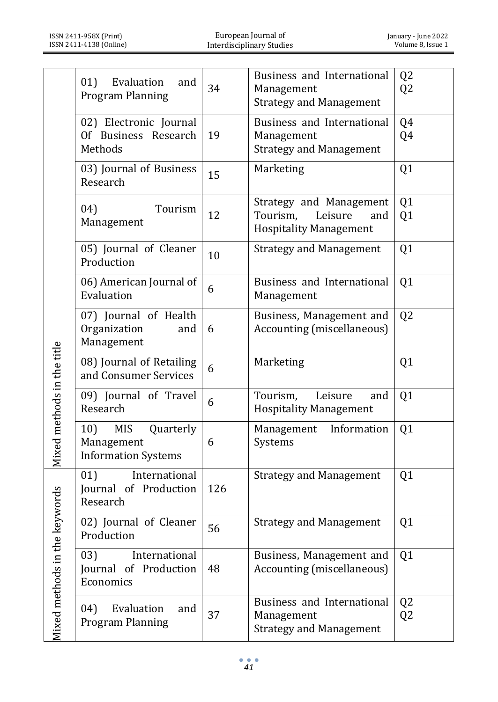|                            | 01)<br>Evaluation<br>and<br>Program Planning                               | 34  | Business and International<br>Management<br><b>Strategy and Management</b>             | Q <sub>2</sub><br>Q <sub>2</sub> |
|----------------------------|----------------------------------------------------------------------------|-----|----------------------------------------------------------------------------------------|----------------------------------|
|                            | 02) Electronic Journal<br>Of Business Research<br>Methods                  | 19  | Business and International<br>Management<br><b>Strategy and Management</b>             | Q4<br>Q4                         |
|                            | 03) Journal of Business<br>Research                                        | 15  | Marketing                                                                              | Q1                               |
|                            | 04)<br>Tourism<br>Management                                               | 12  | Strategy and Management<br>Tourism,<br>Leisure<br>and<br><b>Hospitality Management</b> | Q <sub>1</sub><br>Q <sub>1</sub> |
|                            | 05) Journal of Cleaner<br>Production                                       | 10  | <b>Strategy and Management</b>                                                         | Q <sub>1</sub>                   |
|                            | 06) American Journal of<br>Evaluation                                      | 6   | Business and International<br>Management                                               | Q <sub>1</sub>                   |
|                            | 07) Journal of Health<br>Organization<br>and<br>Management                 | 6   | Business, Management and<br>Accounting (miscellaneous)                                 | Q <sub>2</sub>                   |
|                            | 08) Journal of Retailing<br>and Consumer Services                          | 6   | Marketing                                                                              | Q <sub>1</sub>                   |
|                            | 09) Journal of Travel<br>Research                                          | 6   | Leisure<br>Tourism,<br>and<br><b>Hospitality Management</b>                            | Q <sub>1</sub>                   |
| Mixed methods in the title | <b>MIS</b><br>10)<br>Quarterly<br>Management<br><b>Information Systems</b> | 6   | Management<br>Information<br>Systems                                                   | Q <sub>1</sub>                   |
| eywords                    | 01)<br>International<br>Journal of Production<br>Research                  | 126 | <b>Strategy and Management</b>                                                         | Q <sub>1</sub>                   |
|                            | 02) Journal of Cleaner<br>Production                                       | 56  | <b>Strategy and Management</b>                                                         | Q1                               |
| Mixed methods in the k     | 03)<br>International<br>Journal of Production<br>Economics                 | 48  | Business, Management and<br>Accounting (miscellaneous)                                 | Q <sub>1</sub>                   |
|                            | Evaluation<br>04)<br>and<br><b>Program Planning</b>                        | 37  | Business and International<br>Management<br><b>Strategy and Management</b>             | Q <sub>2</sub><br>Q <sub>2</sub> |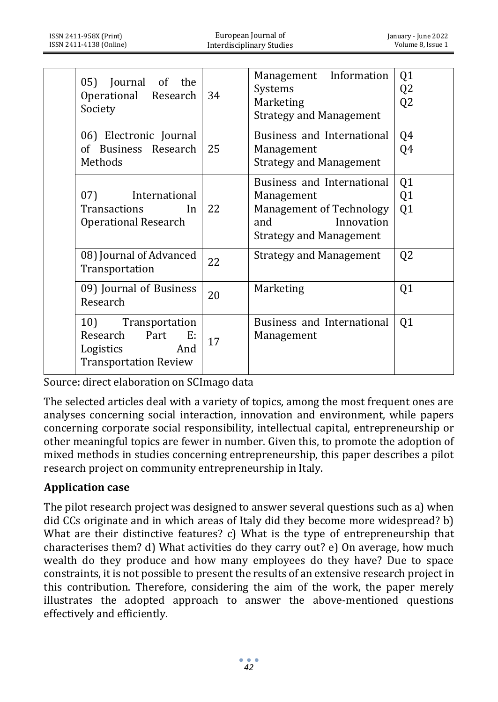|  | Journal of the<br>05)<br>Operational Research<br>Society                                            | 34 | Management Information<br>Systems<br>Marketing<br><b>Strategy and Management</b>                                                   | Q1<br>Q <sub>2</sub><br>Q <sub>2</sub> |
|--|-----------------------------------------------------------------------------------------------------|----|------------------------------------------------------------------------------------------------------------------------------------|----------------------------------------|
|  | 06) Electronic Journal<br>of Business Research<br>Methods                                           | 25 | Business and International<br>Management<br><b>Strategy and Management</b>                                                         | Q4<br>Q4                               |
|  | 07)<br>International<br>Transactions<br>In<br><b>Operational Research</b>                           | 22 | Business and International<br>Management<br><b>Management of Technology</b><br>Innovation<br>and<br><b>Strategy and Management</b> | Q <sub>1</sub><br>Q <sub>1</sub><br>Q1 |
|  | 08) Journal of Advanced<br>Transportation                                                           | 22 | Strategy and Management                                                                                                            | Q <sub>2</sub>                         |
|  | 09) Journal of Business<br>Research                                                                 | 20 | Marketing                                                                                                                          | Q <sub>1</sub>                         |
|  | 10)<br>Transportation<br>Research<br>Part<br>E:<br>Logistics<br>And<br><b>Transportation Review</b> | 17 | Business and International<br>Management                                                                                           | Q <sub>1</sub>                         |

Source: direct elaboration on SCImago data

The selected articles deal with a variety of topics, among the most frequent ones are analyses concerning social interaction, innovation and environment, while papers concerning corporate social responsibility, intellectual capital, entrepreneurship or other meaningful topics are fewer in number. Given this, to promote the adoption of mixed methods in studies concerning entrepreneurship, this paper describes a pilot research project on community entrepreneurship in Italy.

### **Application case**

The pilot research project was designed to answer several questions such as a) when did CCs originate and in which areas of Italy did they become more widespread? b) What are their distinctive features? c) What is the type of entrepreneurship that characterises them? d) What activities do they carry out? e) On average, how much wealth do they produce and how many employees do they have? Due to space constraints, it is not possible to present the results of an extensive research project in this contribution. Therefore, considering the aim of the work, the paper merely illustrates the adopted approach to answer the above-mentioned questions effectively and efficiently.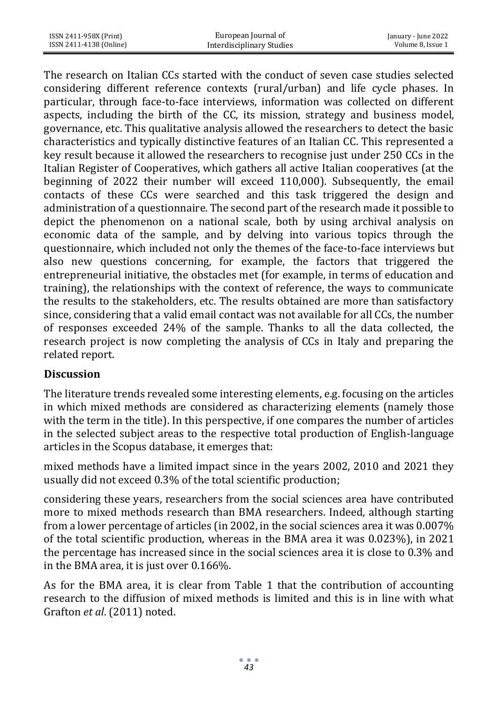The research on Italian CCs started with the conduct of seven case studies selected considering different reference contexts (rural/urban) and life cycle phases. In particular, through face-to-face interviews, information was collected on different aspects, including the birth of the CC, its mission, strategy and business model, governance, etc. This qualitative analysis allowed the researchers to detect the basic characteristics and typically distinctive features of an Italian CC. This represented a key result because it allowed the researchers to recognise just under 250 CCs in the Italian Register of Cooperatives, which gathers all active Italian cooperatives (at the beginning of 2022 their number will exceed 110,000). Subsequently, the email contacts of these CCs were searched and this task triggered the design and administration of a questionnaire. The second part of the research made it possible to depict the phenomenon on a national scale, both by using archival analysis on economic data of the sample, and by delving into various topics through the questionnaire, which included not only the themes of the face-to-face interviews but also new questions concerning, for example, the factors that triggered the entrepreneurial initiative, the obstacles met (for example, in terms of education and training), the relationships with the context of reference, the ways to communicate the results to the stakeholders, etc. The results obtained are more than satisfactory since, considering that a valid email contact was not available for all CCs, the number of responses exceeded 24% of the sample. Thanks to all the data collected, the research project is now completing the analysis of CCs in Italy and preparing the related report.

### **Discussion**

The literature trends revealed some interesting elements, e.g. focusing on the articles in which mixed methods are considered as characterizing elements (namely those with the term in the title). In this perspective, if one compares the number of articles in the selected subject areas to the respective total production of English-language articles in the Scopus database, it emerges that:

mixed methods have a limited impact since in the years 2002, 2010 and 2021 they usually did not exceed 0.3% of the total scientific production;

considering these years, researchers from the social sciences area have contributed more to mixed methods research than BMA researchers. Indeed, although starting from a lower percentage of articles (in 2002, in the social sciences area it was 0.007% of the total scientific production, whereas in the BMA area it was 0.023%), in 2021 the percentage has increased since in the social sciences area it is close to 0.3% and in the BMA area, it is just over 0.166%.

As for the BMA area, it is clear from Table 1 that the contribution of accounting research to the diffusion of mixed methods is limited and this is in line with what Grafton *et al*. (2011) noted.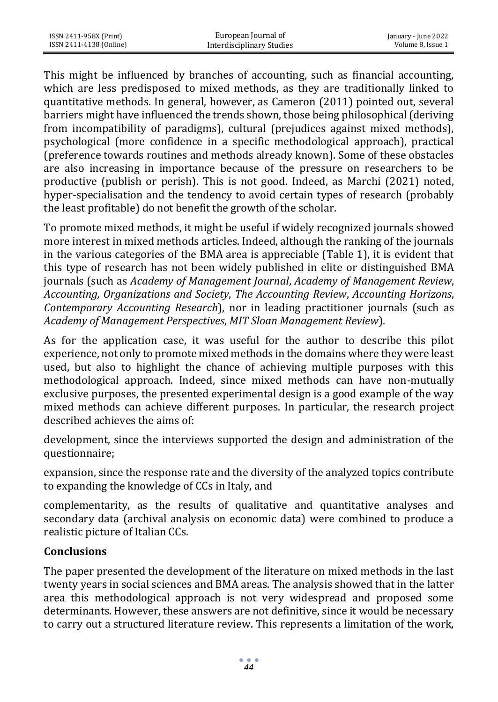This might be influenced by branches of accounting, such as financial accounting, which are less predisposed to mixed methods, as they are traditionally linked to quantitative methods. In general, however, as Cameron (2011) pointed out, several barriers might have influenced the trends shown, those being philosophical (deriving from incompatibility of paradigms), cultural (prejudices against mixed methods), psychological (more confidence in a specific methodological approach), practical (preference towards routines and methods already known). Some of these obstacles are also increasing in importance because of the pressure on researchers to be productive (publish or perish). This is not good. Indeed, as Marchi (2021) noted, hyper-specialisation and the tendency to avoid certain types of research (probably the least profitable) do not benefit the growth of the scholar.

To promote mixed methods, it might be useful if widely recognized journals showed more interest in mixed methods articles. Indeed, although the ranking of the journals in the various categories of the BMA area is appreciable (Table 1), it is evident that this type of research has not been widely published in elite or distinguished BMA journals (such as *Academy of Management Journal*, *Academy of Management Review*, *Accounting, Organizations and Society*, *The Accounting Review*, *Accounting Horizons*, *Contemporary Accounting Research*), nor in leading practitioner journals (such as *Academy of Management Perspectives*, *MIT Sloan Management Review*).

As for the application case, it was useful for the author to describe this pilot experience, not only to promote mixed methods in the domains where they were least used, but also to highlight the chance of achieving multiple purposes with this methodological approach. Indeed, since mixed methods can have non-mutually exclusive purposes, the presented experimental design is a good example of the way mixed methods can achieve different purposes. In particular, the research project described achieves the aims of:

development, since the interviews supported the design and administration of the questionnaire;

expansion, since the response rate and the diversity of the analyzed topics contribute to expanding the knowledge of CCs in Italy, and

complementarity, as the results of qualitative and quantitative analyses and secondary data (archival analysis on economic data) were combined to produce a realistic picture of Italian CCs.

### **Conclusions**

The paper presented the development of the literature on mixed methods in the last twenty years in social sciences and BMA areas. The analysis showed that in the latter area this methodological approach is not very widespread and proposed some determinants. However, these answers are not definitive, since it would be necessary to carry out a structured literature review. This represents a limitation of the work,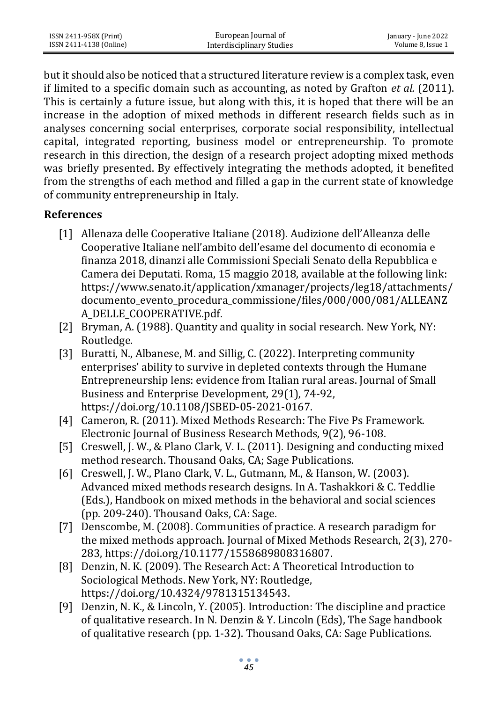but it should also be noticed that a structured literature review is a complex task, even if limited to a specific domain such as accounting, as noted by Grafton *et al.* (2011). This is certainly a future issue, but along with this, it is hoped that there will be an increase in the adoption of mixed methods in different research fields such as in analyses concerning social enterprises, corporate social responsibility, intellectual capital, integrated reporting, business model or entrepreneurship. To promote research in this direction, the design of a research project adopting mixed methods was briefly presented. By effectively integrating the methods adopted, it benefited from the strengths of each method and filled a gap in the current state of knowledge of community entrepreneurship in Italy.

### **References**

- [1] Allenaza delle Cooperative Italiane (2018). Audizione dell'Alleanza delle Cooperative Italiane nell'ambito dell'esame del documento di economia e finanza 2018, dinanzi alle Commissioni Speciali Senato della Repubblica e Camera dei Deputati. Roma, 15 maggio 2018, available at the following link: [https://www.senato.it/application/xmanager/projects/leg18/attachments/](https://www.senato.it/application/xmanager/projects/leg18/attachments/documento_evento_procedura_commissione/files/000/000/081/ALLEANZA_DELLE_COOPERATIVE.pdf) [documento\\_evento\\_procedura\\_commissione/files/000/000/081/ALLEANZ](https://www.senato.it/application/xmanager/projects/leg18/attachments/documento_evento_procedura_commissione/files/000/000/081/ALLEANZA_DELLE_COOPERATIVE.pdf) [A\\_DELLE\\_COOPERATIVE.pdf.](https://www.senato.it/application/xmanager/projects/leg18/attachments/documento_evento_procedura_commissione/files/000/000/081/ALLEANZA_DELLE_COOPERATIVE.pdf)
- [2] Bryman, A. (1988). Quantity and quality in social research. New York, NY: Routledge.
- [3] Buratti, N., Albanese, M. and Sillig, C. (2022). Interpreting community enterprises' ability to survive in depleted contexts through the Humane Entrepreneurship lens: evidence from Italian rural areas. Journal of Small Business and Enterprise Development, 29(1), 74-92, [https://doi.org/10.1108/JSBED-05-2021-0167.](https://doi.org/10.1108/JSBED-05-2021-0167)
- [4] Cameron, R. (2011). Mixed Methods Research: The Five Ps Framework. Electronic Journal of Business Research Methods, 9(2), 96-108.
- [5] Creswell, J. W., & Plano Clark, V. L. (2011). Designing and conducting mixed method research. Thousand Oaks, CA; Sage Publications.
- [6] Creswell, J. W., Plano Clark, V. L., Gutmann, M., & Hanson, W. (2003). Advanced mixed methods research designs. In A. Tashakkori & C. Teddlie (Eds.), Handbook on mixed methods in the behavioral and social sciences (pp. 209-240). Thousand Oaks, CA: Sage.
- [7] Denscombe, M. (2008). Communities of practice. A research paradigm for the mixed methods approach. Journal of Mixed Methods Research, 2(3), 270- 283[, https://doi.org/10.1177/1558689808316807.](https://doi.org/10.1177/1558689808316807)
- [8] Denzin, N. K. (2009). The Research Act: A Theoretical Introduction to Sociological Methods. New York, NY: Routledge, [https://doi.org/10.4324/9781315134543.](https://doi.org/10.4324/9781315134543)
- [9] Denzin, N. K., & Lincoln, Y. (2005). Introduction: The discipline and practice of qualitative research. In N. Denzin & Y. Lincoln (Eds), The Sage handbook of qualitative research (pp. 1-32). Thousand Oaks, CA: Sage Publications.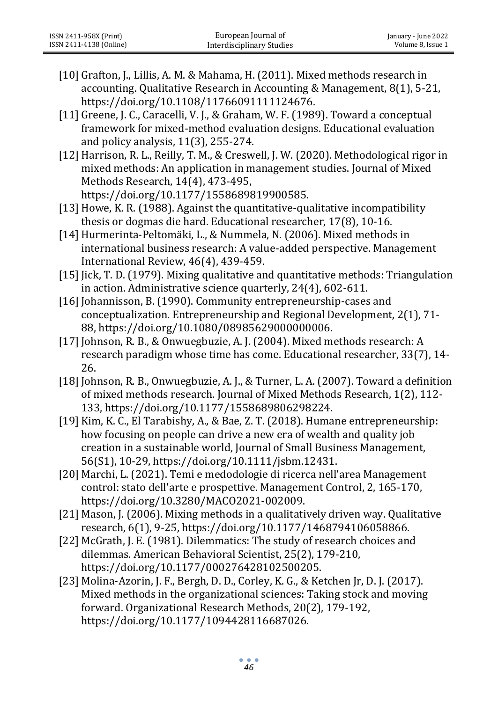- [10] Grafton, J., Lillis, A. M. & Mahama, H. (2011). Mixed methods research in accounting. Qualitative Research in Accounting & Management, 8(1), 5-21, [https://doi.org/10.1108/11766091111124676.](https://doi.org/10.1108/11766091111124676)
- [11] Greene, J. C., Caracelli, V. J., & Graham, W. F. (1989). Toward a conceptual framework for mixed-method evaluation designs. Educational evaluation and policy analysis, 11(3), 255-274.
- [12] Harrison, R. L., Reilly, T. M., & Creswell, J. W. (2020). Methodological rigor in mixed methods: An application in management studies. Journal of Mixed Methods Research, 14(4), 473-495, [https://doi.org/10.1177/1558689819900585.](https://doi.org/10.1177/1558689819900585)
- [13] Howe, K. R. (1988). Against the quantitative-qualitative incompatibility thesis or dogmas die hard. Educational researcher, 17(8), 10-16.
- [14]Hurmerinta-Peltomäki, L., & Nummela, N. (2006). Mixed methods in international business research: A value-added perspective. Management International Review, 46(4), 439-459.
- [15] Jick, T. D. (1979). Mixing qualitative and quantitative methods: Triangulation in action. Administrative science quarterly, 24(4), 602-611.
- [16] Johannisson, B. (1990). Community entrepreneurship-cases and conceptualization. Entrepreneurship and Regional Development, 2(1), 71- 88[, https://doi.org/10.1080/08985629000000006.](https://doi.org/10.1080/08985629000000006)
- [17] Johnson, R. B., & Onwuegbuzie, A. J. (2004). Mixed methods research: A research paradigm whose time has come. Educational researcher, 33(7), 14- 26.
- [18]Johnson, R. B., Onwuegbuzie, A. J., & Turner, L. A. (2007). Toward a definition of mixed methods research. Journal of Mixed Methods Research, 1(2), 112- 133[, https://doi.org/10.1177/1558689806298224.](https://doi.org/10.1177/1558689806298224)
- [19] Kim, K. C., El Tarabishy, A., & Bae, Z. T. (2018). Humane entrepreneurship: how focusing on people can drive a new era of wealth and quality job creation in a sustainable world, Journal of Small Business Management, 56(S1), 10-29, [https://doi.org/10.1111/jsbm.12431.](https://doi.org/10.1111/jsbm.12431)
- [20] Marchi, L. (2021). Temi e medodologie di ricerca nell'area Management control: stato dell'arte e prospettive. Management Control, 2, 165-170, [https://doi.org/10.3280/MACO2021-002009.](https://doi.org/10.3280/MACO2021-002009)
- [21] Mason, J. (2006). Mixing methods in a qualitatively driven way. Qualitative research, 6(1), 9-25, [https://doi.org/10.1177/1468794106058866.](https://doi.org/10.1177/1468794106058866)
- [22] McGrath, J. E. (1981). Dilemmatics: The study of research choices and dilemmas. American Behavioral Scientist, 25(2), 179-210, [https://doi.org/10.1177/000276428102500205.](https://doi.org/10.1177/000276428102500205)
- [23] Molina-Azorin, J. F., Bergh, D. D., Corley, K. G., & Ketchen Jr, D. J. (2017). Mixed methods in the organizational sciences: Taking stock and moving forward. Organizational Research Methods, 20(2), 179-192, [https://doi.org/10.1177/1094428116687026.](https://doi.org/10.1177/1094428116687026)